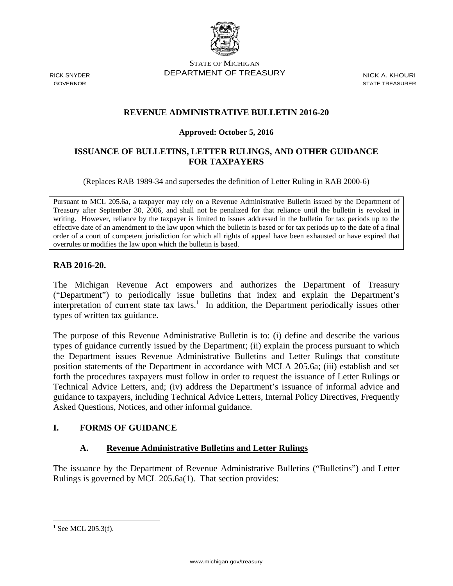

STATE OF MICHIGAN RICK SNYDER DEPARTMENT OF TREASURY NICK A. KHOURI

GOVERNOR STATE TREASURER

## **REVENUE ADMINISTRATIVE BULLETIN 2016-20**

#### **Approved: October 5, 2016**

#### **ISSUANCE OF BULLETINS, LETTER RULINGS, AND OTHER GUIDANCE FOR TAXPAYERS**

(Replaces RAB 1989-34 and supersedes the definition of Letter Ruling in RAB 2000-6)

 effective date of an amendment to the law upon which the bulletin is based or for tax periods up to the date of a final overrules or modifies the law upon which the bulletin is based. Pursuant to MCL 205.6a, a taxpayer may rely on a Revenue Administrative Bulletin issued by the Department of Treasury after September 30, 2006, and shall not be penalized for that reliance until the bulletin is revoked in writing. However, reliance by the taxpayer is limited to issues addressed in the bulletin for tax periods up to the order of a court of competent jurisdiction for which all rights of appeal have been exhausted or have expired that

#### **RAB 2016-20.**

The Michigan Revenue Act empowers and authorizes the Department of Treasury ("Department") to periodically issue bulletins that index and explain the Department's interpretation of current state tax laws.<sup>1</sup> In addition, the Department periodically issues other types of written tax guidance.

The purpose of this Revenue Administrative Bulletin is to: (i) define and describe the various types of guidance currently issued by the Department; (ii) explain the process pursuant to which the Department issues Revenue Administrative Bulletins and Letter Rulings that constitute position statements of the Department in accordance with MCLA 205.6a; (iii) establish and set forth the procedures taxpayers must follow in order to request the issuance of Letter Rulings or Technical Advice Letters, and; (iv) address the Department's issuance of informal advice and guidance to taxpayers, including Technical Advice Letters, Internal Policy Directives, Frequently Asked Questions, Notices, and other informal guidance.

#### **I. FORMS OF GUIDANCE**

#### **A. Revenue Administrative Bulletins and Letter Rulings**

The issuance by the Department of Revenue Administrative Bulletins ("Bulletins") and Letter Rulings is governed by MCL 205.6a(1). That section provides:

 $1$  See MCL 205.3(f).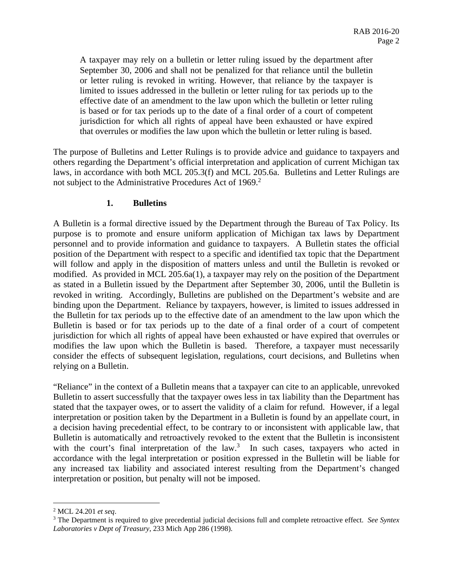A taxpayer may rely on a bulletin or letter ruling issued by the department after September 30, 2006 and shall not be penalized for that reliance until the bulletin or letter ruling is revoked in writing. However, that reliance by the taxpayer is limited to issues addressed in the bulletin or letter ruling for tax periods up to the effective date of an amendment to the law upon which the bulletin or letter ruling is based or for tax periods up to the date of a final order of a court of competent jurisdiction for which all rights of appeal have been exhausted or have expired that overrules or modifies the law upon which the bulletin or letter ruling is based.

The purpose of Bulletins and Letter Rulings is to provide advice and guidance to taxpayers and others regarding the Department's official interpretation and application of current Michigan tax laws, in accordance with both MCL 205.3(f) and MCL 205.6a. Bulletins and Letter Rulings are not subject to the Administrative Procedures Act of 1969.<sup>2</sup>

#### **1. Bulletins**

A Bulletin is a formal directive issued by the Department through the Bureau of Tax Policy. Its purpose is to promote and ensure uniform application of Michigan tax laws by Department personnel and to provide information and guidance to taxpayers. A Bulletin states the official position of the Department with respect to a specific and identified tax topic that the Department will follow and apply in the disposition of matters unless and until the Bulletin is revoked or modified. As provided in MCL 205.6a(1), a taxpayer may rely on the position of the Department as stated in a Bulletin issued by the Department after September 30, 2006, until the Bulletin is revoked in writing. Accordingly, Bulletins are published on the Department's website and are binding upon the Department. Reliance by taxpayers, however, is limited to issues addressed in the Bulletin for tax periods up to the effective date of an amendment to the law upon which the Bulletin is based or for tax periods up to the date of a final order of a court of competent jurisdiction for which all rights of appeal have been exhausted or have expired that overrules or modifies the law upon which the Bulletin is based. Therefore, a taxpayer must necessarily consider the effects of subsequent legislation, regulations, court decisions, and Bulletins when relying on a Bulletin.

"Reliance" in the context of a Bulletin means that a taxpayer can cite to an applicable, unrevoked Bulletin to assert successfully that the taxpayer owes less in tax liability than the Department has stated that the taxpayer owes, or to assert the validity of a claim for refund. However, if a legal interpretation or position taken by the Department in a Bulletin is found by an appellate court, in a decision having precedential effect, to be contrary to or inconsistent with applicable law, that Bulletin is automatically and retroactively revoked to the extent that the Bulletin is inconsistent with the court's final interpretation of the  $law$ <sup>3</sup>. In such cases, taxpayers who acted in accordance with the legal interpretation or position expressed in the Bulletin will be liable for any increased tax liability and associated interest resulting from the Department's changed interpretation or position, but penalty will not be imposed.

 $^2$  MCL 24.201 *et seq.*<br><sup>3</sup> The Department is r.

 *Laboratories v Dept of Treasury*, 233 Mich App 286 (1998). The Department is required to give precedential judicial decisions full and complete retroactive effect. *See Syntex*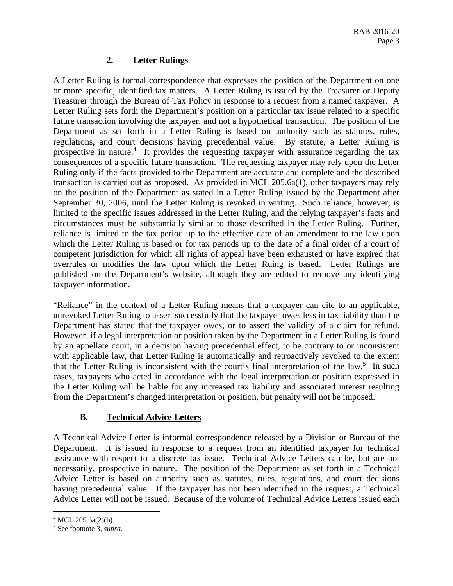## **2. Letter Rulings**

A Letter Ruling is formal correspondence that expresses the position of the Department on one or more specific, identified tax matters. A Letter Ruling is issued by the Treasurer or Deputy Treasurer through the Bureau of Tax Policy in response to a request from a named taxpayer. A Letter Ruling sets forth the Department's position on a particular tax issue related to a specific future transaction involving the taxpayer, and not a hypothetical transaction. The position of the Department as set forth in a Letter Ruling is based on authority such as statutes, rules, regulations, and court decisions having precedential value. By statute, a Letter Ruling is prospective in nature.<sup>4</sup> It provides the requesting taxpayer with assurance regarding the tax consequences of a specific future transaction. The requesting taxpayer may rely upon the Letter Ruling only if the facts provided to the Department are accurate and complete and the described transaction is carried out as proposed. As provided in MCL 205.6a(1), other taxpayers may rely on the position of the Department as stated in a Letter Ruling issued by the Department after September 30, 2006, until the Letter Ruling is revoked in writing. Such reliance, however, is limited to the specific issues addressed in the Letter Ruling, and the relying taxpayer's facts and circumstances must be substantially similar to those described in the Letter Ruling. Further, reliance is limited to the tax period up to the effective date of an amendment to the law upon which the Letter Ruling is based or for tax periods up to the date of a final order of a court of competent jurisdiction for which all rights of appeal have been exhausted or have expired that overrules or modifies the law upon which the Letter Ruing is based. Letter Rulings are published on the Department's website, although they are edited to remove any identifying taxpayer information.

"Reliance" in the context of a Letter Ruling means that a taxpayer can cite to an applicable, unrevoked Letter Ruling to assert successfully that the taxpayer owes less in tax liability than the Department has stated that the taxpayer owes, or to assert the validity of a claim for refund. However, if a legal interpretation or position taken by the Department in a Letter Ruling is found by an appellate court, in a decision having precedential effect, to be contrary to or inconsistent with applicable law, that Letter Ruling is automatically and retroactively revoked to the extent that the Letter Ruling is inconsistent with the court's final interpretation of the law.<sup>5</sup> In such cases, taxpayers who acted in accordance with the legal interpretation or position expressed in the Letter Ruling will be liable for any increased tax liability and associated interest resulting from the Department's changed interpretation or position, but penalty will not be imposed.

# **B. Technical Advice Letters**

A Technical Advice Letter is informal correspondence released by a Division or Bureau of the Department. It is issued in response to a request from an identified taxpayer for technical assistance with respect to a discrete tax issue. Technical Advice Letters can be, but are not necessarily, prospective in nature. The position of the Department as set forth in a Technical Advice Letter is based on authority such as statutes, rules, regulations, and court decisions having precedential value. If the taxpayer has not been identified in the request, a Technical Advice Letter will not be issued. Because of the volume of Technical Advice Letters issued each

 $4$  MCL 205.6a(2)(b).

<sup>5</sup> See footnote 3, *supra*.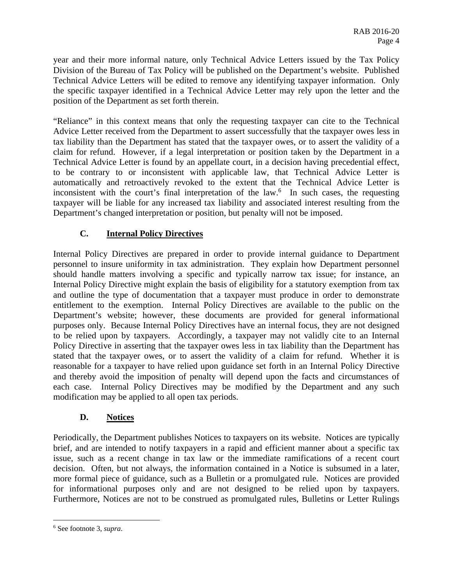year and their more informal nature, only Technical Advice Letters issued by the Tax Policy Division of the Bureau of Tax Policy will be published on the Department's website. Published Technical Advice Letters will be edited to remove any identifying taxpayer information. Only the specific taxpayer identified in a Technical Advice Letter may rely upon the letter and the position of the Department as set forth therein.

"Reliance" in this context means that only the requesting taxpayer can cite to the Technical Advice Letter received from the Department to assert successfully that the taxpayer owes less in tax liability than the Department has stated that the taxpayer owes, or to assert the validity of a claim for refund. However, if a legal interpretation or position taken by the Department in a Technical Advice Letter is found by an appellate court, in a decision having precedential effect, to be contrary to or inconsistent with applicable law, that Technical Advice Letter is automatically and retroactively revoked to the extent that the Technical Advice Letter is inconsistent with the court's final interpretation of the law.<sup>6</sup> In such cases, the requesting taxpayer will be liable for any increased tax liability and associated interest resulting from the Department's changed interpretation or position, but penalty will not be imposed.

# **C. Internal Policy Directives**

Internal Policy Directives are prepared in order to provide internal guidance to Department personnel to insure uniformity in tax administration. They explain how Department personnel should handle matters involving a specific and typically narrow tax issue; for instance, an Internal Policy Directive might explain the basis of eligibility for a statutory exemption from tax and outline the type of documentation that a taxpayer must produce in order to demonstrate entitlement to the exemption. Internal Policy Directives are available to the public on the Department's website; however, these documents are provided for general informational purposes only. Because Internal Policy Directives have an internal focus, they are not designed to be relied upon by taxpayers. Accordingly, a taxpayer may not validly cite to an Internal Policy Directive in asserting that the taxpayer owes less in tax liability than the Department has stated that the taxpayer owes, or to assert the validity of a claim for refund. Whether it is reasonable for a taxpayer to have relied upon guidance set forth in an Internal Policy Directive and thereby avoid the imposition of penalty will depend upon the facts and circumstances of each case. Internal Policy Directives may be modified by the Department and any such modification may be applied to all open tax periods.

# **D. Notices**

Periodically, the Department publishes Notices to taxpayers on its website. Notices are typically brief, and are intended to notify taxpayers in a rapid and efficient manner about a specific tax issue, such as a recent change in tax law or the immediate ramifications of a recent court decision. Often, but not always, the information contained in a Notice is subsumed in a later, more formal piece of guidance, such as a Bulletin or a promulgated rule. Notices are provided for informational purposes only and are not designed to be relied upon by taxpayers. Furthermore, Notices are not to be construed as promulgated rules, Bulletins or Letter Rulings

<sup>6</sup> See footnote 3, *supra*.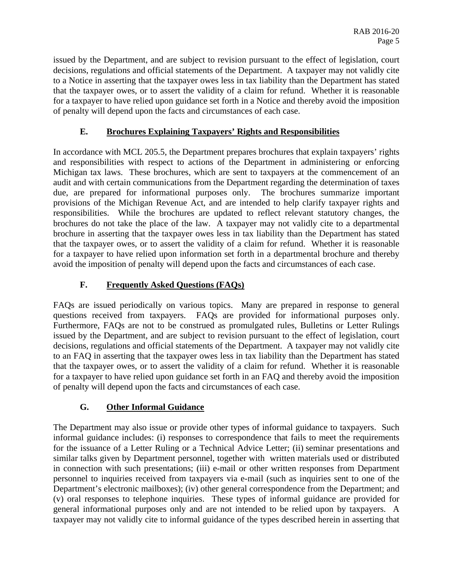issued by the Department, and are subject to revision pursuant to the effect of legislation, court decisions, regulations and official statements of the Department. A taxpayer may not validly cite to a Notice in asserting that the taxpayer owes less in tax liability than the Department has stated that the taxpayer owes, or to assert the validity of a claim for refund. Whether it is reasonable for a taxpayer to have relied upon guidance set forth in a Notice and thereby avoid the imposition of penalty will depend upon the facts and circumstances of each case.

### **E. Brochures Explaining Taxpayers' Rights and Responsibilities**

In accordance with MCL 205.5, the Department prepares brochures that explain taxpayers' rights and responsibilities with respect to actions of the Department in administering or enforcing Michigan tax laws. These brochures, which are sent to taxpayers at the commencement of an audit and with certain communications from the Department regarding the determination of taxes due, are prepared for informational purposes only. The brochures summarize important provisions of the Michigan Revenue Act, and are intended to help clarify taxpayer rights and responsibilities. While the brochures are updated to reflect relevant statutory changes, the brochures do not take the place of the law. A taxpayer may not validly cite to a departmental brochure in asserting that the taxpayer owes less in tax liability than the Department has stated that the taxpayer owes, or to assert the validity of a claim for refund. Whether it is reasonable for a taxpayer to have relied upon information set forth in a departmental brochure and thereby avoid the imposition of penalty will depend upon the facts and circumstances of each case.

## **F. Frequently Asked Questions (FAQs)**

questions received from taxpayers. FAOs are provided for informational purposes only. FAQs are issued periodically on various topics. Many are prepared in response to general Furthermore, FAQs are not to be construed as promulgated rules, Bulletins or Letter Rulings issued by the Department, and are subject to revision pursuant to the effect of legislation, court decisions, regulations and official statements of the Department. A taxpayer may not validly cite to an FAQ in asserting that the taxpayer owes less in tax liability than the Department has stated that the taxpayer owes, or to assert the validity of a claim for refund. Whether it is reasonable for a taxpayer to have relied upon guidance set forth in an FAQ and thereby avoid the imposition of penalty will depend upon the facts and circumstances of each case.

## **G. Other Informal Guidance**

The Department may also issue or provide other types of informal guidance to taxpayers. Such informal guidance includes: (i) responses to correspondence that fails to meet the requirements for the issuance of a Letter Ruling or a Technical Advice Letter; (ii) seminar presentations and similar talks given by Department personnel, together with written materials used or distributed in connection with such presentations; (iii) e-mail or other written responses from Department personnel to inquiries received from taxpayers via e-mail (such as inquiries sent to one of the Department's electronic mailboxes); (iv) other general correspondence from the Department; and (v) oral responses to telephone inquiries. These types of informal guidance are provided for general informational purposes only and are not intended to be relied upon by taxpayers. A taxpayer may not validly cite to informal guidance of the types described herein in asserting that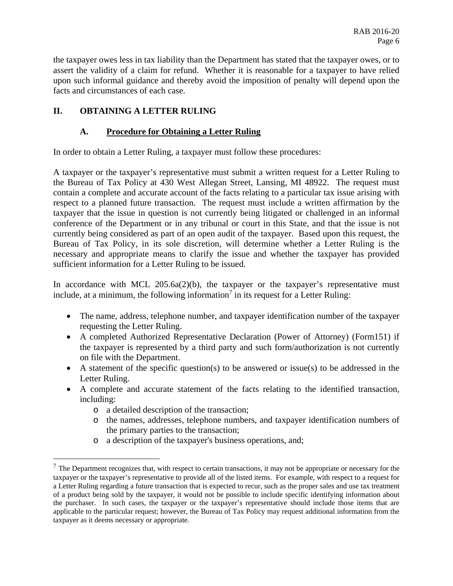the taxpayer owes less in tax liability than the Department has stated that the taxpayer owes, or to assert the validity of a claim for refund. Whether it is reasonable for a taxpayer to have relied upon such informal guidance and thereby avoid the imposition of penalty will depend upon the facts and circumstances of each case.

#### **II. OBTAINING A LETTER RULING**

#### **A. Procedure for Obtaining a Letter Ruling**

In order to obtain a Letter Ruling, a taxpayer must follow these procedures:

A taxpayer or the taxpayer's representative must submit a written request for a Letter Ruling to the Bureau of Tax Policy at 430 West Allegan Street, Lansing, MI 48922. The request must contain a complete and accurate account of the facts relating to a particular tax issue arising with respect to a planned future transaction. The request must include a written affirmation by the taxpayer that the issue in question is not currently being litigated or challenged in an informal conference of the Department or in any tribunal or court in this State, and that the issue is not currently being considered as part of an open audit of the taxpayer. Based upon this request, the Bureau of Tax Policy, in its sole discretion, will determine whether a Letter Ruling is the necessary and appropriate means to clarify the issue and whether the taxpayer has provided sufficient information for a Letter Ruling to be issued.

In accordance with MCL  $205.6a(2)(b)$ , the taxpayer or the taxpayer's representative must include, at a minimum, the following information<sup>7</sup> in its request for a Letter Ruling:

- The name, address, telephone number, and taxpayer identification number of the taxpayer requesting the Letter Ruling.
- A completed Authorized Representative Declaration (Power of Attorney) (Form151) if the taxpayer is represented by a third party and such form/authorization is not currently on file with the Department.
- A statement of the specific question(s) to be answered or issue(s) to be addressed in the Letter Ruling.
- A complete and accurate statement of the facts relating to the identified transaction, including:
	- o a detailed description of the transaction;

- o the names, addresses, telephone numbers, and taxpayer identification numbers of the primary parties to the transaction;
- o a description of the taxpayer's business operations, and;

 of a product being sold by the taxpayer, it would not be possible to include specific identifying information about  $<sup>7</sup>$  The Department recognizes that, with respect to certain transactions, it may not be appropriate or necessary for the</sup> taxpayer or the taxpayer's representative to provide all of the listed items. For example, with respect to a request for a Letter Ruling regarding a future transaction that is expected to recur, such as the proper sales and use tax treatment the purchaser. In such cases, the taxpayer or the taxpayer's representative should include those items that are applicable to the particular request; however, the Bureau of Tax Policy may request additional information from the taxpayer as it deems necessary or appropriate.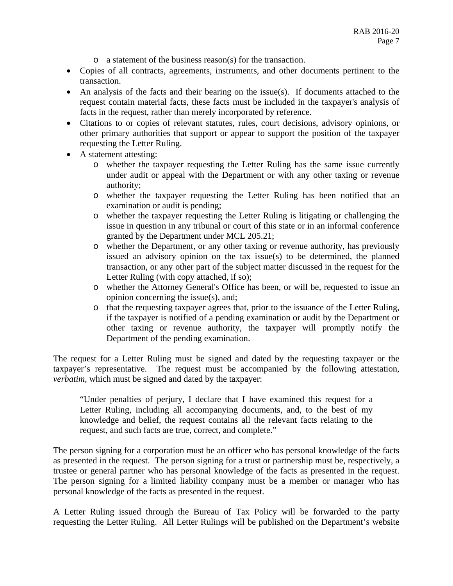- o a statement of the business reason(s) for the transaction.
- Copies of all contracts, agreements, instruments, and other documents pertinent to the transaction.
- An analysis of the facts and their bearing on the issue(s). If documents attached to the request contain material facts, these facts must be included in the taxpayer's analysis of facts in the request, rather than merely incorporated by reference.
- Citations to or copies of relevant statutes, rules, court decisions, advisory opinions, or other primary authorities that support or appear to support the position of the taxpayer requesting the Letter Ruling.
- A statement attesting:
	- o whether the taxpayer requesting the Letter Ruling has the same issue currently under audit or appeal with the Department or with any other taxing or revenue authority;
	- o whether the taxpayer requesting the Letter Ruling has been notified that an examination or audit is pending;
	- o whether the taxpayer requesting the Letter Ruling is litigating or challenging the issue in question in any tribunal or court of this state or in an informal conference granted by the Department under MCL 205.21;
	- o whether the Department, or any other taxing or revenue authority, has previously issued an advisory opinion on the tax issue(s) to be determined, the planned transaction, or any other part of the subject matter discussed in the request for the Letter Ruling (with copy attached, if so);
	- o whether the Attorney General's Office has been, or will be, requested to issue an opinion concerning the issue(s), and;
	- o that the requesting taxpayer agrees that, prior to the issuance of the Letter Ruling, if the taxpayer is notified of a pending examination or audit by the Department or other taxing or revenue authority, the taxpayer will promptly notify the Department of the pending examination.

The request for a Letter Ruling must be signed and dated by the requesting taxpayer or the taxpayer's representative. The request must be accompanied by the following attestation, *verbatim,* which must be signed and dated by the taxpayer:

"Under penalties of perjury, I declare that I have examined this request for a Letter Ruling, including all accompanying documents, and, to the best of my knowledge and belief, the request contains all the relevant facts relating to the request, and such facts are true, correct, and complete."

trustee or general partner who has personal knowledge of the facts as presented in the request. The person signing for a corporation must be an officer who has personal knowledge of the facts as presented in the request. The person signing for a trust or partnership must be, respectively, a The person signing for a limited liability company must be a member or manager who has personal knowledge of the facts as presented in the request.

A Letter Ruling issued through the Bureau of Tax Policy will be forwarded to the party requesting the Letter Ruling. All Letter Rulings will be published on the Department's website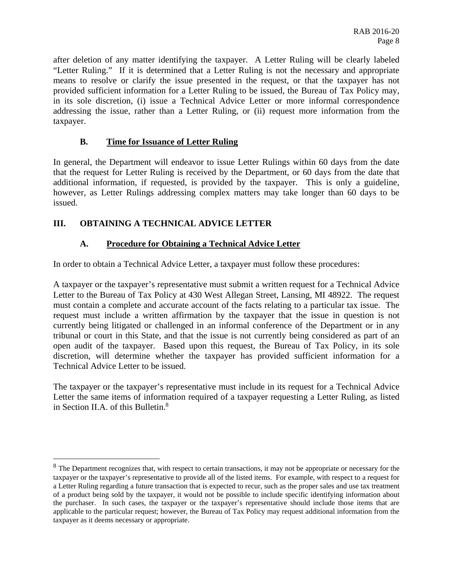after deletion of any matter identifying the taxpayer. A Letter Ruling will be clearly labeled "Letter Ruling." If it is determined that a Letter Ruling is not the necessary and appropriate means to resolve or clarify the issue presented in the request, or that the taxpayer has not provided sufficient information for a Letter Ruling to be issued, the Bureau of Tax Policy may, in its sole discretion, (i) issue a Technical Advice Letter or more informal correspondence addressing the issue, rather than a Letter Ruling, or (ii) request more information from the taxpayer.

### **B. Time for Issuance of Letter Ruling**

In general, the Department will endeavor to issue Letter Rulings within 60 days from the date that the request for Letter Ruling is received by the Department, or 60 days from the date that additional information, if requested, is provided by the taxpayer. This is only a guideline, however, as Letter Rulings addressing complex matters may take longer than 60 days to be issued.

## **III. OBTAINING A TECHNICAL ADVICE LETTER**

1

## **A. Procedure for Obtaining a Technical Advice Letter**

In order to obtain a Technical Advice Letter, a taxpayer must follow these procedures:

A taxpayer or the taxpayer's representative must submit a written request for a Technical Advice Letter to the Bureau of Tax Policy at 430 West Allegan Street, Lansing, MI 48922. The request must contain a complete and accurate account of the facts relating to a particular tax issue. The request must include a written affirmation by the taxpayer that the issue in question is not currently being litigated or challenged in an informal conference of the Department or in any tribunal or court in this State, and that the issue is not currently being considered as part of an open audit of the taxpayer. Based upon this request, the Bureau of Tax Policy, in its sole discretion, will determine whether the taxpayer has provided sufficient information for a Technical Advice Letter to be issued.

The taxpayer or the taxpayer's representative must include in its request for a Technical Advice Letter the same items of information required of a taxpayer requesting a Letter Ruling, as listed in Section II.A. of this Bulletin. $8$ 

 of a product being sold by the taxpayer, it would not be possible to include specific identifying information about <sup>8</sup> The Department recognizes that, with respect to certain transactions, it may not be appropriate or necessary for the taxpayer or the taxpayer's representative to provide all of the listed items. For example, with respect to a request for a Letter Ruling regarding a future transaction that is expected to recur, such as the proper sales and use tax treatment the purchaser. In such cases, the taxpayer or the taxpayer's representative should include those items that are applicable to the particular request; however, the Bureau of Tax Policy may request additional information from the taxpayer as it deems necessary or appropriate.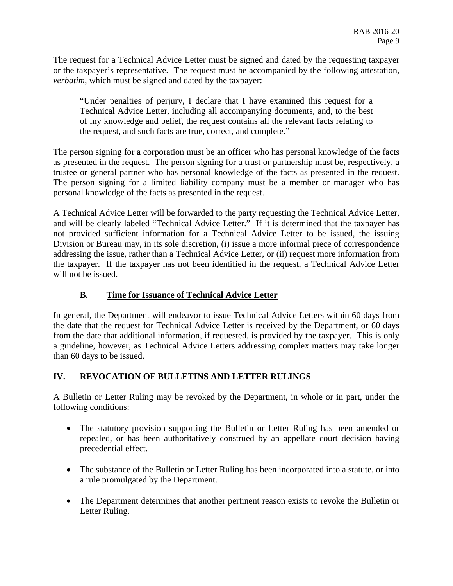The request for a Technical Advice Letter must be signed and dated by the requesting taxpayer or the taxpayer's representative. The request must be accompanied by the following attestation, *verbatim,* which must be signed and dated by the taxpayer:

"Under penalties of perjury, I declare that I have examined this request for a Technical Advice Letter, including all accompanying documents, and, to the best of my knowledge and belief, the request contains all the relevant facts relating to the request, and such facts are true, correct, and complete."

The person signing for a corporation must be an officer who has personal knowledge of the facts as presented in the request. The person signing for a trust or partnership must be, respectively, a trustee or general partner who has personal knowledge of the facts as presented in the request. The person signing for a limited liability company must be a member or manager who has personal knowledge of the facts as presented in the request.

A Technical Advice Letter will be forwarded to the party requesting the Technical Advice Letter, and will be clearly labeled "Technical Advice Letter." If it is determined that the taxpayer has not provided sufficient information for a Technical Advice Letter to be issued, the issuing Division or Bureau may, in its sole discretion, (i) issue a more informal piece of correspondence addressing the issue, rather than a Technical Advice Letter, or (ii) request more information from the taxpayer. If the taxpayer has not been identified in the request, a Technical Advice Letter will not be issued.

## **B. Time for Issuance of Technical Advice Letter**

In general, the Department will endeavor to issue Technical Advice Letters within 60 days from the date that the request for Technical Advice Letter is received by the Department, or 60 days from the date that additional information, if requested, is provided by the taxpayer. This is only a guideline, however, as Technical Advice Letters addressing complex matters may take longer than 60 days to be issued.

## **IV. REVOCATION OF BULLETINS AND LETTER RULINGS**

A Bulletin or Letter Ruling may be revoked by the Department, in whole or in part, under the following conditions:

- The statutory provision supporting the Bulletin or Letter Ruling has been amended or repealed, or has been authoritatively construed by an appellate court decision having precedential effect.
- The substance of the Bulletin or Letter Ruling has been incorporated into a statute, or into a rule promulgated by the Department.
- The Department determines that another pertinent reason exists to revoke the Bulletin or Letter Ruling.